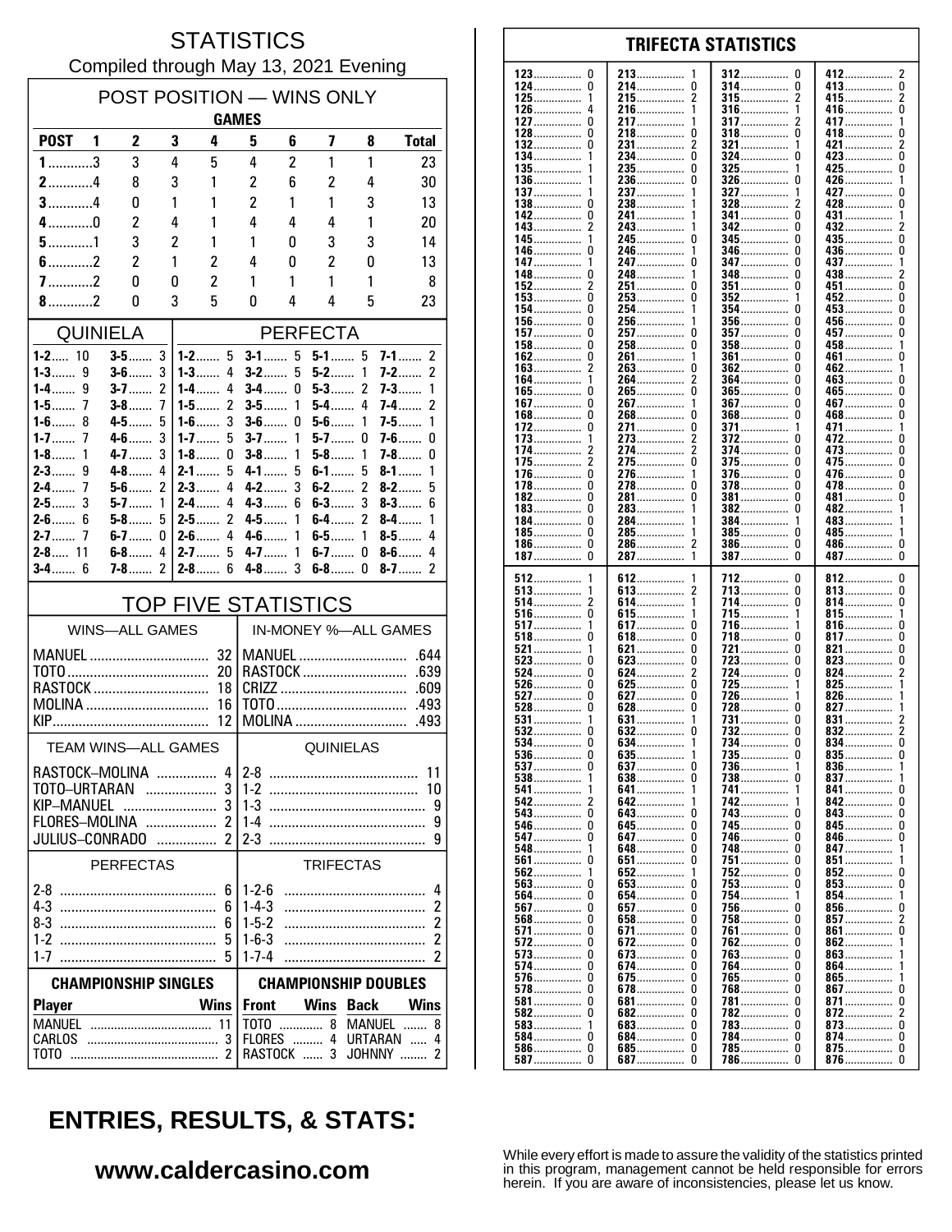### **STATISTICS** Compiled through May 13, 2021 Evening

| POST POSITION - WINS ONLY<br><b>GAMES</b>                                             |     |                     |                |                              |                                                                     |                |                    |                                     |                                    |  |  |
|---------------------------------------------------------------------------------------|-----|---------------------|----------------|------------------------------|---------------------------------------------------------------------|----------------|--------------------|-------------------------------------|------------------------------------|--|--|
| <b>POST</b>                                                                           | - 1 | 2                   | 3              | 4                            | 5                                                                   | 6              | 7                  | 8                                   | <b>Total</b>                       |  |  |
| $1$ 3                                                                                 |     | 3                   | 4              | 5                            | 4                                                                   | $\overline{c}$ | 1                  | 1                                   | 23                                 |  |  |
| $2$ 4                                                                                 |     | 8                   | 3              | 1                            | $\overline{c}$                                                      | 6              | 2                  | 4                                   | 30                                 |  |  |
| $3$ 4                                                                                 |     | 0                   | 1              | 1                            | 2                                                                   | 1              | 1                  | 3                                   | 13                                 |  |  |
| $4$ 0                                                                                 |     | 2                   | 4              | 1                            | 4                                                                   | 4              | 4                  | 1                                   | 20                                 |  |  |
| $5$ 1                                                                                 |     | 3                   | $\overline{c}$ | 1                            | 1                                                                   | 0              | 3                  | 3                                   | 14                                 |  |  |
| $6$ 2                                                                                 |     | 2                   | 1              | 2                            | 4                                                                   | 0              | 2                  | 0                                   | 13                                 |  |  |
| $7$ 2                                                                                 |     | 0                   | 0              | 2                            | 1                                                                   | 1              | 1                  | 1                                   | 8                                  |  |  |
| 8.11                                                                                  |     | 0                   | 3              | 5                            | 0                                                                   | 4              | 4                  | 5                                   | 23                                 |  |  |
| <b>QUINIELA</b>                                                                       |     |                     |                | <b>PERFECTA</b>              |                                                                     |                |                    |                                     |                                    |  |  |
| $1 - 2$ 10<br>$1 - 3$<br>9                                                            |     | $3-5$<br>$3 - 6$    | 3<br>3         | $1-2$<br>5<br>$1 - 3$<br>4   | $3-1$<br>$3-2$                                                      | 5<br>5         | $5 - 1$ 5<br>$5-2$ | 1                                   | $7-1$<br>2<br>2<br>$7-2$           |  |  |
| $1-4$<br>9                                                                            |     | $3-7$               | 2              | 4<br>$1 - 4$                 | 3-4……                                                               | 0              | 5-3……              | 2                                   | 7-3……<br>1                         |  |  |
| $1 - 5$<br>7                                                                          |     | $3-8$               | 7              | $\overline{c}$<br>1-5……      | $3-5$                                                               | 1              | 5-4                | 4                                   | 2<br>7-4……                         |  |  |
| $1-6$<br>8<br>$1 - 7$<br>7                                                            |     | $4 - 5$<br>$4 - 6$  | 5<br>3         | 3<br>$1-6$<br>$1 - 7$<br>5   | $3-6$<br>$3-7$                                                      | 0<br>1         | $5-6$<br>$5-7$     | 1<br>0                              | $7-5$<br>1<br>$7-6$<br>0           |  |  |
| $1 - 8$<br>1                                                                          |     | $4 - 7$             | 3              | 1-8……<br>0                   | $3-8$                                                               | 1              | $5-8$              | 1                                   | $7 - 8$<br>0                       |  |  |
| 9<br>$2 - 3$                                                                          |     | $4-8$               | 4              | 5<br>$2 - 1$                 | $4 - 1$                                                             | 5              | $6-1$              | 5                                   | $8-1$<br>1                         |  |  |
| 7<br>$2-4$<br>$2-5$<br>3                                                              |     | $5-6$<br>$5 - 7$    | 2<br>1         | $2-3$<br>4<br>$2 - 4$<br>4   | $4 - 2$<br>$4 - 3$                                                  | 3<br>6         | $6-2$<br>$6-3$     | 2<br>3                              | $8 - 2$<br>5<br>$8-3$<br>6         |  |  |
| $2-6$<br>6                                                                            |     | 5-8                 | 5              | 2<br>$2 - 5$                 | $4 - 5$                                                             | 1              | $6-4$              | 2                                   | $8-4$<br>1                         |  |  |
| $2 - 7$<br>7                                                                          |     | $6-7$               | 0              | $\overline{4}$<br>$2 - 6$    | $4-6$                                                               | 1              | 6-5……              | 1                                   | 4<br>$8-5$                         |  |  |
| $2 - 8$ 11<br>$3 - 4$ 6                                                               |     | $6-8$<br>$7-8$      | 4<br>2         | $2 - 7$<br>5<br>$2 - 8$<br>6 | $4 - 7$<br>$4-8$                                                    | 1<br>3         | 6-7.<br>$6-8$      | 0<br>0                              | $8-6$<br>4<br>$8-7$<br>2           |  |  |
|                                                                                       |     |                     |                |                              |                                                                     |                |                    |                                     |                                    |  |  |
| <b>TOP FIVE STATISTICS</b><br>IN-MONEY %-ALL GAMES<br><b>WINS-ALL GAMES</b>           |     |                     |                |                              |                                                                     |                |                    |                                     |                                    |  |  |
| MANUEL<br>RASTOCK                                                                     |     |                     |                | 32<br>20<br>18               |                                                                     |                |                    | MANUEL<br>RASTOCK                   | .644<br>.639<br>.609               |  |  |
| MOLINA<br><b>KIP Example 2008</b>                                                     |     |                     |                | 16<br>12                     |                                                                     |                |                    | MOLINA                              | .493<br>.493                       |  |  |
|                                                                                       |     | TEAM WINS-ALL GAMES |                |                              |                                                                     |                | QUINIELAS          |                                     |                                    |  |  |
| RASTOCK-MOLINA<br>TOTO-URTARAN<br>KIP–MANUEL<br>FLORES-MOLINA  2<br>JULIUS-CONRADO  2 |     |                     |                | 3                            | $4 2-8$                                                             |                |                    |                                     | 11<br>10<br>9<br>9<br>g            |  |  |
|                                                                                       |     | <b>PERFECTAS</b>    |                |                              |                                                                     |                | <b>TRIFECTAS</b>   |                                     |                                    |  |  |
| $1-2$<br>$1 - 7$                                                                      |     |                     |                | 6<br>6<br>6<br>5             | $1 - 2 - 6$<br>$1 - 4 - 3$<br>$1-5-2$<br>$1 - 6 - 3$<br>$1 - 7 - 4$ |                |                    |                                     | 4<br>$\overline{c}$<br>2<br>2<br>2 |  |  |
| <b>CHAMPIONSHIP SINGLES</b>                                                           |     |                     |                | <b>CHAMPIONSHIP DOUBLES</b>  |                                                                     |                |                    |                                     |                                    |  |  |
| <b>Player</b>                                                                         |     |                     |                | <b>Wins</b>                  | <b>Front</b>                                                        |                | Wins               | <b>Back</b>                         | <b>Wins</b>                        |  |  |
| CARLOS<br>тото                                                                        |     |                     |                | 11                           |                                                                     | RASTOCK  3     |                    | TOTO  8 MANUEL<br>FLORES  4 URTARAN | 8<br>4<br>JOHNNY<br>2              |  |  |

#### 123  $\mathbf 0$ 213 412  $\overline{2}$ 312 <sup>0</sup> 124  $\pmb{0}$ 214................  $\pmb{0}$ 314 413  $\overline{0}$ . . . . . . . . . . . . . . . . . . . . . . . .  $215$ ................  $\overline{2}$  $\overline{2}$  $^2_{\rm 0}$ 125 1 315. 415................ . . . . . . . . . . . . . . . . . . . . . . . . . . . . . . . 126 216 1 316 1 416  $\Delta$ .............. . . . . . . . . . . . . . . . . . . . . . . . . . . . . . . 127  $\Omega$ 217 317 417  $\overline{1}$ 1 2 . . . . . . . . . . . . . . . . . . . . . . . . . . . . . . . . . . . . . . . . 128  $\Omega$ 218  $\Omega$ 318  $\Omega$ 418  $\Omega$  $\overline{2}$ 132  $\Omega$ 231................  $\overline{\phantom{a}}$ 321.................  $421$ 1 134.  $\Omega$  $\Omega$ ō  $234$ ................  $324$  ................ 423...... 135. 235.................  $\Omega$ 325  $425$  $\mathbf 0$ 136 236  $\Omega$ 326 426................  $\Omega$ . . . . . . . . . . . . . . . . . . . . . . . . . . . . . . . . . . . . . . . . . . . . . . 137 237 327 427  $\Omega$ . . . . . . . . . . . . . . . . . . . . . . . . 138  $\Omega$ 238 328 428  $\Omega$ . . . . . . . . . . . . . . . . . . . . . . . . 241................ n 142  $\Omega$  $341$  ................ 431  $\mathbf{1}$  $143.$  $\bar{2}$ 243................ 342  $\Omega$ . . . . . . . . . . . . . . .  $345$  $\overline{0}$ 245  $\mathbf 0$  $\mathbf{0}$  $435...$ 145 -1 346 0 436. 146 246 . . . . . . . . . . . . . . . . . . . . . . . . . . . . . . . . . . . . . . . . . . . . . . . . . . . . . . . . . . . . 147 247  $\Omega$ 347 n 437 . . . . . . . . . . . . . . . . . . . . . . . . . . . . . . . . . . . . . . . . . . . 148 248 348 438................ 0 <sup>0</sup> 2 . . . . . . . . . . . . . . . .............. . . . . . . . . . . . . . . . . 152  $\overline{2}$ 251 0 351 <sup>0</sup> 451 0 . . . . . . . . . . . . . . . . . . . . . . . . . . . . . . . . . . . . . . . . 153  $\Omega$ 253  $\Omega$ 352 452  $\Omega$  $\mathbf{1}$ ŏ 154  $\Omega$ 254. 354  $453$  $\mathbf{1}$ n 156.  $\mathbf 0$  $\mathbf 0$ 256.  $356$  $\Omega$  $456$  $157$ ................  $\Omega$ 257.  $\mathbf{0}$  $357$  .................  $457$  $\mathbf{0}$ . . . . . . . . . . . . . . . 458................  $\pmb{0}$ 158 0 258 358  $\Omega$ . . . . . . . . . . . . . . . . .............. . . . . . . . . . . . . . . . . 162  $\Omega$ 261 361  $\Omega$ 461  $\mathbf{0}$ 1 . . . . . . . . . . . . . . . ............... . . . . . . . . . . . . . . . . . . . . . . . 163  $\overline{2}$ 263  $\Omega$ 362  $\Omega$ 462 . . . . . . . . . . . . . .  $\overline{1}$ . . . . . . . . . . . . . . . . . . . . . . . . . . .  $\dot{0}$ 264................  $364$  ................ 164  $\Omega$  $463...$  $\mathbf{1}$ 2 265.................. 165................ ò ō ñ  $465$ ñ  $\mathbf 0$  $\overline{0}$  $\mathbf 0$  $267$ ................  $367$  ................  $467$ ............... 167. . . . . . . . . . . . . . . Ō  $\ddot{\mathbf{0}}$ Ō Ō 168 268 368 468 . . . . . . . . . . . . . . . . . . . . . . . . . . . . . . . . . . . . . . . . . . . . . . . . . . . . . . . . . . . . 172.  $\pmb{0}$ 271................  $\pmb{0}$ 371................ 471........  $\mathbf{1}$ . . . . . . . . . . . . . 273  $\overline{2}$ 372  $\mathbf{0}$ 173 ŋ 472 . . . . . . . . . . . . . . . .............. . . . . . . . . . . . . . . . . . . . . . . . . . . . . . . . 174  $\overline{\mathbf{c}}$ 274  $\overline{2}$ 374  $\Omega$ 473  $\pmb{0}$ . . . . . . . . . . . . . . . . . . . . . . . . . . . . . . . . . . . . . . . . . . . . . . . . . . . . . . . . . . . .  $\overline{2}$  $\Omega$ 175 275 375  $\Omega$ 475.  $\Omega$ ............. . . . . . . . . . . . . . . . . . . . . . . . . . . . . .  $\Omega$ 376.  $476$ .......  $\Omega$ 176 276.  $\mathbf{1}$  $\Omega$  $\dot{0}$ ŏ  $\Omega$ 278................  $\Omega$ 478  $178$ ................  $378$ 182.  $\Omega$ 281.................  $\Omega$ 381  $\theta$  $\Omega$  $481$ ................ . . . . . . . . . . . . . . . . . . . . . . . . . . . . . . .  $183$ ................. 0 283 382 0  $482$ ................ . . . . . . . . . . . . . . . . . . . . . . . . . . . . . . . 184  $\Omega$ 284 384 483 . . . . . . . . . . . . . . . ............... ................ . . . . . . . . . . . . . . . . 185  $\Omega$ 285 385  $\Omega$ 485 . . . . . . . . . . . . . . . . . . . . . . . . . . . . . . . . . . . . . . . . . . . . . . . . . . . . . . . . . . . 186.  $\Omega$ 286.  $\overline{\phantom{a}}$  $386$ ................  $\Omega$ 486................  $\Omega$ . . . . . . . . . . . . . . . . . . . . . . . . . . . . . .  $\tilde{0}$  $\Omega$  $\Omega$ 187................ 287 — 287  $\mathbf{1}$ 387 387 512 612 712  $\pmb{0}$ 812. 0 . . . . . . . . . . . . . . . . . . . . . .  $513$ ................ 613  $\overline{2}$  $\Omega$  $\pmb{0}$ 713 813................ .............. . . . . . . . . . . . . . . . . 514 2 614  $\mathbf{1}$ 714 0 814 0 . . . . . . . . . . . . . . . . . . . . . . . . . . . . . . . . . . . . . . . . . . . . . . . . . . . . . . . . . . . . . 516 0 615 715  $\overline{\mathbf{1}}$ 815  $\mathbf{1}$ . . . . . . . . . . . . . . . . . . . . . . . . . . -1 . . . . . . . . . . . . . .  $\dot{0}$  $\ddot{\mathbf{0}}$ 517................ -1 617... 716. -1  $816...$  $518$ ................  $\mathbf 0$  $\mathbf{0}$  $\Omega$  $618$ ................  $718$ ................  $\Omega$ 817 521  $\pmb{0}$ 721  $\Omega$ 821  $\pmb{0}$ 621 . . . . . . . . . . . . . . . . . . . . . . . . . . . . . ................ 523  $\Omega$ 623  $\pmb{0}$ 723  $\Omega$ 823  $\pmb{0}$ . . . . . . . . . . . . . . . .............. . . . . . . . . . . . . . . . . . . . . . . . . . . . . . . . 524  $\Omega$ 624 2 724  $\Omega$ 824  $\overline{\phantom{a}}$ . . . . . . . . . . . . . . . . . . . . . . . . . . . . . . . . . . . . . . . . . . . . .  $\Omega$  $725.726$ 526  $\Omega$ 625 825 1 . . . . . . . . . . . . . . . . . . . . . . . . . . . . . . 627................ 527  $\Omega$  $\Omega$ -1 826 528 Ō  $628$ Ō  $728$ ................. ò  $827$ 531................ 631................ 731 831 . . . . . . . . . . . . . . . . 732............... 532................ 632................  $\ddot{\mathbf{0}}$  $\bar{2}$  $\mathbf{0}$  $\Omega$  $832$ ........  $\overline{0}$  $534$ ................  $\mathbf{0}$ 634................ 734 0 834........  $\mathbf{1}$ 635 735  $\pmb{0}$ 536 0 0 835 . . . . . . . . . . . . . . . . . . . . . . . . . . . . . . . . . . . . . . . . . . . . . . . . . . . . . . . . . . . . . 537  $\Omega$ 637  $\Omega$ 736  $\mathbf{1}$ 836  $\overline{1}$ 738 837 538 -1 638  $\Omega$  $\Omega$ . . . . . . . . . . . . . . . . . . . . . . . . . 641............... 741................ 541. -1 1  $841...$ 0 542............... 642............... 742................ 842........  $\overline{2}$  $\Omega$ 543.  $\pmb{0}$  $\pmb{0}$ 743  $\theta$  $\pmb{0}$ 643. 843 . . . . . . . . . . . . . . . ............... 546................ 645................  $\mathbf 0$ 745.  $845$ ................  $\mathbf 0$ 0  $\Omega$ . . . . . . . . . . . . . . . . 547  $\pmb{0}$ 647  $\Omega$ 746  $\Omega$ 846  $\mathbf{0}$ . . . . . . . . . . . . . . . . . . . . . . . . . . . . . . . . . . . . . . . . . . . . . . 548 648  $\Omega$ 748  $\Omega$ 847 1 . . . . . . . . . . . . . . . . . . . . . . . . . . . .  $651$ ................ 561  $\Omega$  $\Omega$ 751  $\Omega$  $851...$  $\dot{0}$  $\Omega$ 852 562  $\mathbf{1}$ 652................ 1 563................ ó 653................. . 753 Ō Ō 853 3 . . . . . . . . . . . . . . . . 564 Ō 654 Ō 754 854 . . . . . . . . . . . . . . . . . . . . . . . . . . . . . . 856................ 567  $\Omega$ 657  $\Omega$ 756  $\Omega$  $\Omega$ . . . . . . . . . . . . . . . . . . . . . . . . . . . . . . . . . . . . . . . . . . . . . . . . 568  $\mathbf{0}$ 658  $\Omega$ 758  $\Omega$ 857  $\mathfrak{p}$ . . . . . . . . . . . . . . . . . . . . . . . . . . . .  $861$ ...... 571  $\mathbf{0}$ 671  $\mathbf{0}$ 761 <sup>0</sup>  $\Omega$ . . . . . . . . . . . . . . . . .............. 572 0 672 0 762  $\Omega$ 862 . . . . . . . . . . . . . . . . . . . . . . . . . . . . . . . . . . . . . . . . . 573  $\Omega$ 673.  $\Omega$ 763.  $\Omega$ 863  $574$ ............... 0 674................  $\mathbf 0$ 764.................  $\Omega$  $864...$ 675.  $\pmb{0}$ 765.  $\pmb{0}$ 865................. . . . . . . . . . . . . . . . . . . . . . . . . . . . . . . 578  $\Omega$ 678  $\Omega$ 768  $\theta$  $867$  $\mathbf 0$ . . . . . . . . . . . . . . . . . . . . . . . . . . . . . . . . . . . . . . . . . . . . .  $581$ ................  $\pmb{0}$ 681.  $\pmb{0}$ 781  $\Omega$ 871  $\pmb{0}$ . . . . . . . . . . . . . . . . . . . . . . . . . . . . . . . . . . . . . . . . . . . . . . . 582  $\Omega$ 682  $\Omega$ 782  $\Omega$ 872  $\mathcal{P}$ . . . . . . . . . . . . . . . . . . . . . . . . . . . . . . . . . . . . . . . . . . . . . . . . . . . . . . . . . 583  $\mathbf{1}$ **F.83**  $\Omega$ 783  $\Omega$ 873  $\Omega$ . . . . . . . . . . . . . . . . . . . . . . . . . . . . . . . . . . . . . . . . . . . . . . . . . . . 684............... Ŏ  $584$ ................  $\Omega$  $\Omega$ 784................  $\Omega$ 874................

**TRIFECTA STATISTICS** 

# **ENTRIES, RESULTS, & STATS:**

### www.caldercasino.com

While every effort is made to assure the validity of the statistics printed in this program, management cannot be held responsible for errors herein. If you are aware of inconsistencies, please let us know.

785................

786

 $\Omega$ 

 $\Omega$ 

875.................

876................

 $\mathbf{0}$ 

 $\Omega$ 

685................

687.................

0

 $\Omega$ 

586...............

587.

 $\mathbf 0$ 

 $\Omega$